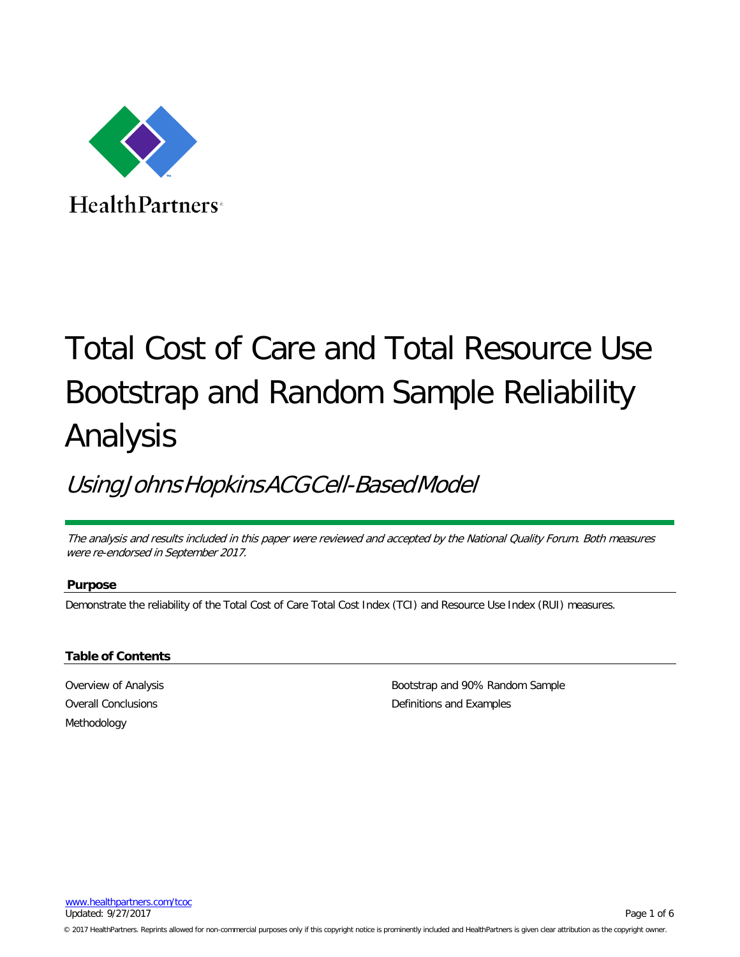

**HealthPartners**<sup>®</sup>

# Total Cost of Care and Total Resource Use Bootstrap and Random Sample Reliability Analysis

# UsingJohnsHopkinsACGCell-BasedModel

The analysis and results included in this paper were reviewed and accepted by the National Quality Forum. Both measures were re-endorsed in September 2017.

## **Purpose**

Demonstrate the reliability of the Total Cost of Care Total Cost Index (TCI) and Resource Use Index (RUI) measures.

#### **Table of Contents**

[Overview of](#page-1-0) Analysis Overall [Conclusions](#page-1-1) [Methodology](#page-1-2)

[Bootstrap](#page-2-0) and 90% Random Sample [Definitions](#page-4-0) and Examples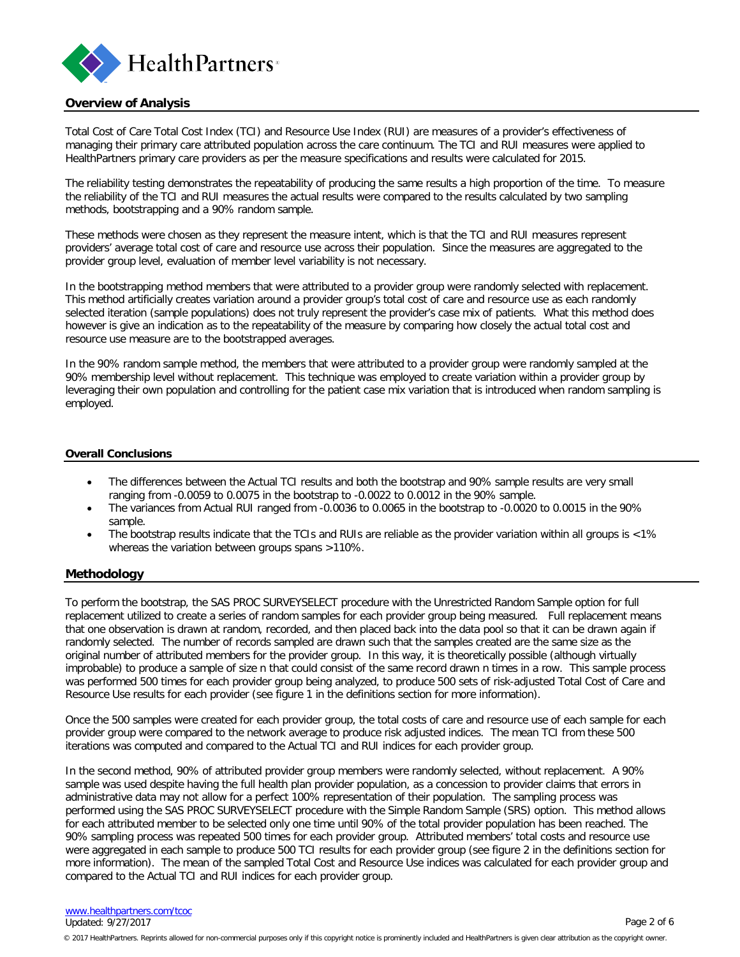

#### <span id="page-1-0"></span>**Overview of Analysis**

Total Cost of Care Total Cost Index (TCI) and Resource Use Index (RUI) are measures of a provider's effectiveness of managing their primary care attributed population across the care continuum. The TCI and RUI measures were applied to HealthPartners primary care providers as per the measure specifications and results were calculated for 2015.

The reliability testing demonstrates the repeatability of producing the same results a high proportion of the time. To measure the reliability of the TCI and RUI measures the actual results were compared to the results calculated by two sampling methods, bootstrapping and a 90% random sample.

These methods were chosen as they represent the measure intent, which is that the TCI and RUI measures represent providers' average total cost of care and resource use across their population. Since the measures are aggregated to the provider group level, evaluation of member level variability is not necessary.

In the bootstrapping method members that were attributed to a provider group were randomly selected with replacement. This method artificially creates variation around a provider group's total cost of care and resource use as each randomly selected iteration (sample populations) does not truly represent the provider's case mix of patients. What this method does however is give an indication as to the repeatability of the measure by comparing how closely the actual total cost and resource use measure are to the bootstrapped averages.

In the 90% random sample method, the members that were attributed to a provider group were randomly sampled at the 90% membership level without replacement. This technique was employed to create variation within a provider group by leveraging their own population and controlling for the patient case mix variation that is introduced when random sampling is employed.

#### <span id="page-1-1"></span>**Overall Conclusions**

- The differences between the Actual TCI results and both the bootstrap and 90% sample results are very small ranging from -0.0059 to 0.0075 in the bootstrap to -0.0022 to 0.0012 in the 90% sample.
- The variances from Actual RUI ranged from -0.0036 to 0.0065 in the bootstrap to -0.0020 to 0.0015 in the 90% sample.
- <span id="page-1-2"></span>The bootstrap results indicate that the TCIs and RUIs are reliable as the provider variation within all groups is <1% whereas the variation between groups spans >110%.

#### **Methodology**

To perform the bootstrap, the SAS PROC SURVEYSELECT procedure with the Unrestricted Random Sample option for full replacement utilized to create a series of random samples for each provider group being measured. Full replacement means that one observation is drawn at random, recorded, and then placed back into the data pool so that it can be drawn again if randomly selected. The number of records sampled are drawn such that the samples created are the same size as the original number of attributed members for the provider group. In this way, it is theoretically possible (although virtually improbable) to produce a sample of size n that could consist of the same record drawn n times in a row. This sample process was performed 500 times for each provider group being analyzed, to produce 500 sets of risk-adjusted Total Cost of Care and Resource Use results for each provider (see figure 1 in the definitions section for more information).

Once the 500 samples were created for each provider group, the total costs of care and resource use of each sample for each provider group were compared to the network average to produce risk adjusted indices. The mean TCI from these 500 iterations was computed and compared to the Actual TCI and RUI indices for each provider group.

In the second method, 90% of attributed provider group members were randomly selected, without replacement. A 90% sample was used despite having the full health plan provider population, as a concession to provider claims that errors in administrative data may not allow for a perfect 100% representation of their population. The sampling process was performed using the SAS PROC SURVEYSELECT procedure with the Simple Random Sample (SRS) option. This method allows for each attributed member to be selected only one time until 90% of the total provider population has been reached. The 90% sampling process was repeated 500 times for each provider group. Attributed members' total costs and resource use were aggregated in each sample to produce 500 TCI results for each provider group (see figure 2 in the definitions section for more information). The mean of the sampled Total Cost and Resource Use indices was calculated for each provider group and compared to the Actual TCI and RUI indices for each provider group.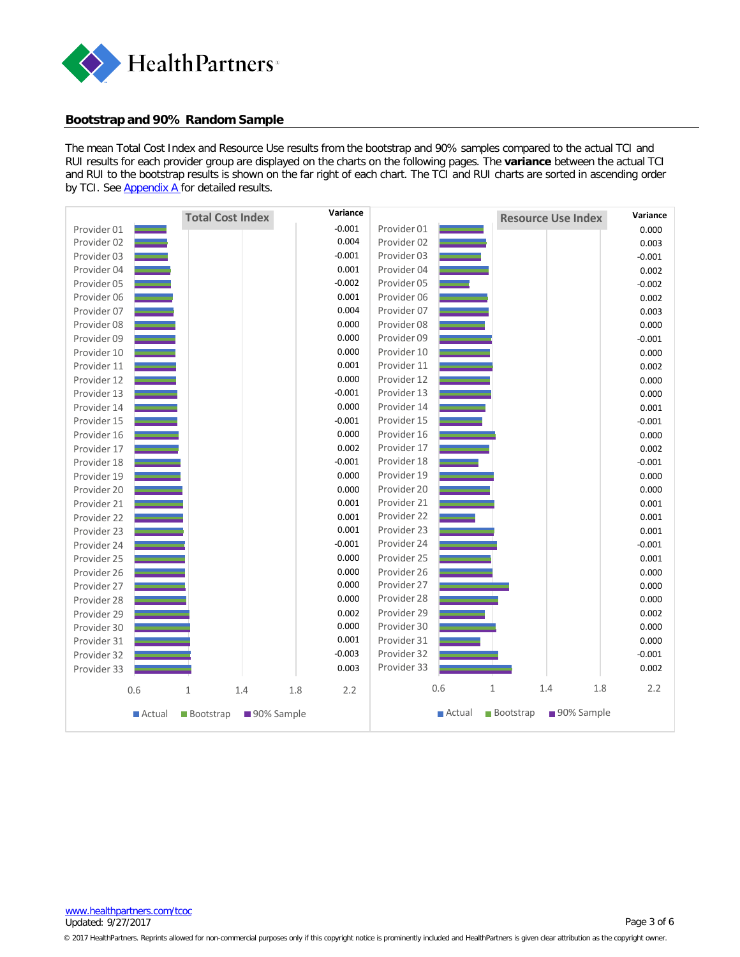

#### <span id="page-2-0"></span>**Bootstrap and 90% Random Sample**

The mean Total Cost Index and Resource Use results from the bootstrap and 90% samples compared to the actual TCI and RUI results for each provider group are displayed on the charts on the following pages. The **variance** between the actual TCI and RUI to the bootstrap results is shown on the far right of each chart. The TCI and RUI charts are sorted in ascending order by TCI. See [Appendix](#page-5-0) A for detailed results.



[www.healthpartners.com/tcoc](http://www.healthpartners.com/tcoc) Updated: 9/27/2017 Page 3 of 6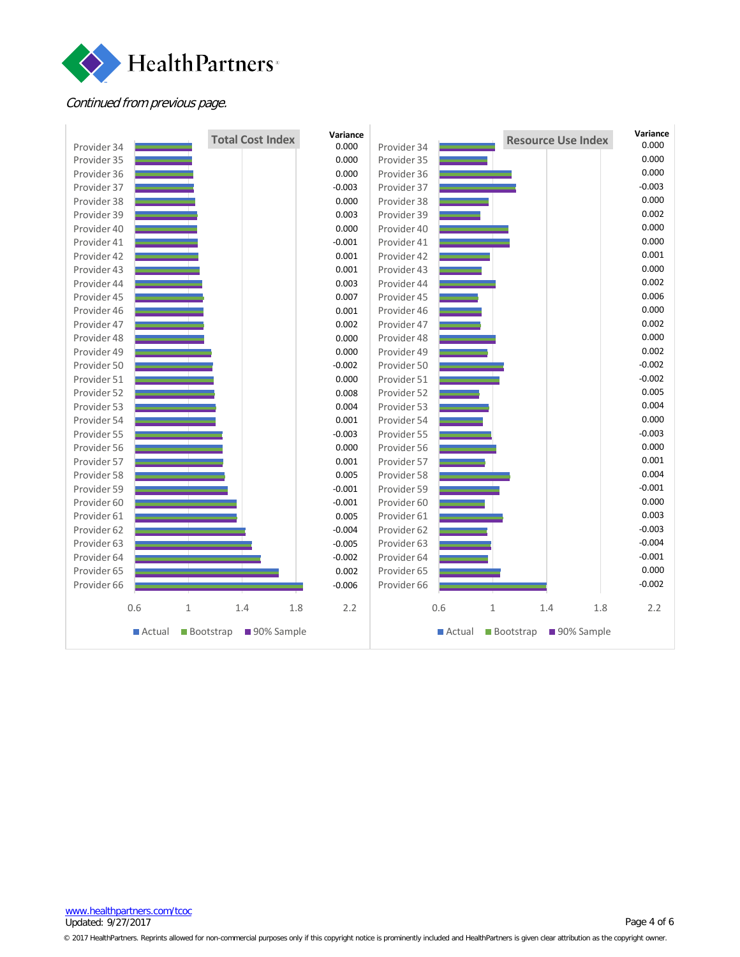

## Continued from previous page.



[www.healthpartners.com/tcoc](http://www.healthpartners.com/tcoc) Updated: 9/27/2017 Page 4 of 6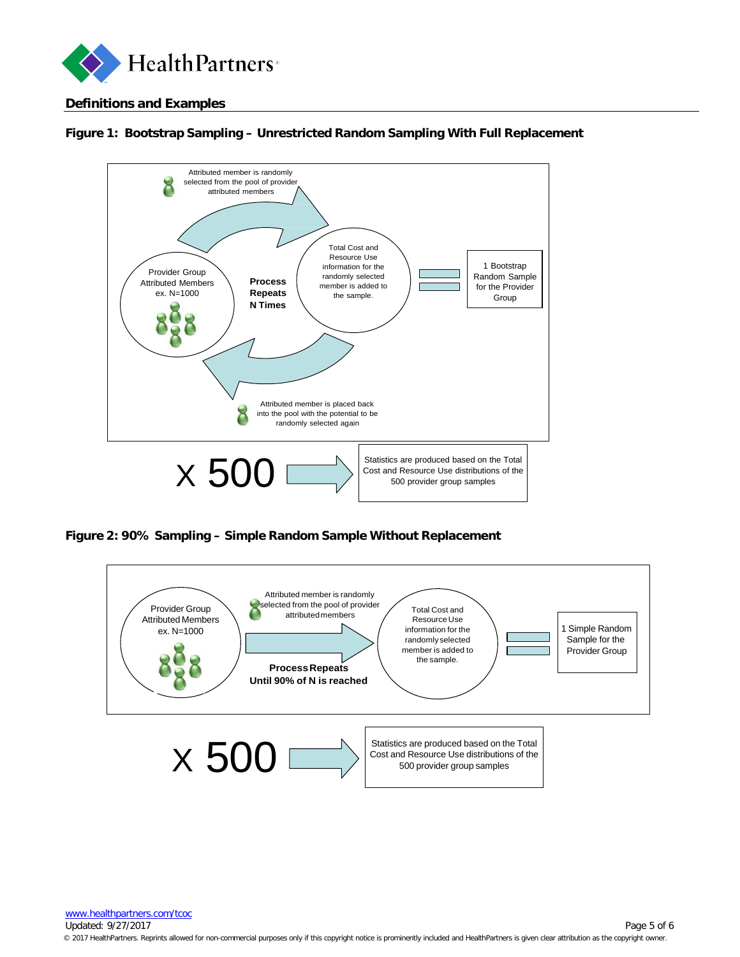

# <span id="page-4-0"></span>**Definitions and Examples**



# **Figure 1: Bootstrap Sampling – Unrestricted Random Sampling With Full Replacement**

**Figure 2: 90% Sampling – Simple Random Sample Without Replacement**